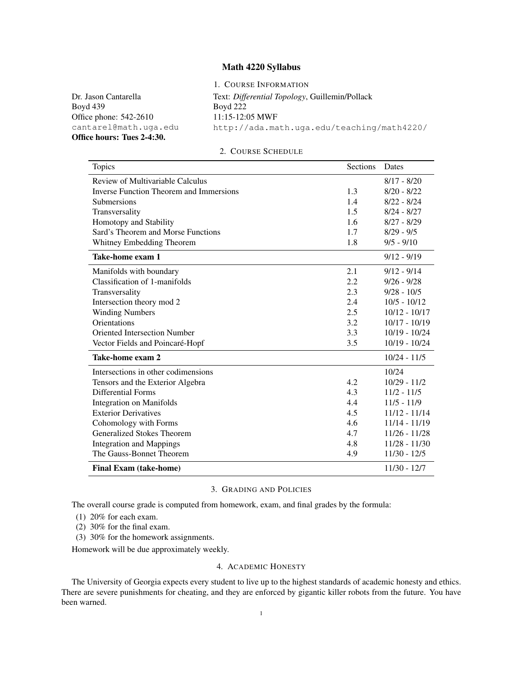## Math 4220 Syllabus

1. COURSE INFORMATION

Dr. Jason Cantarella Boyd 439 Office phone: 542-2610 cantarel@math.uga.edu Office hours: Tues 2-4:30. Text: *Differential Topology*, Guillemin/Pollack Boyd 222 11:15-12:05 MWF http://ada.math.uga.edu/teaching/math4220/

### 2. COURSE SCHEDULE

| Topics                                         | Sections | Dates           |
|------------------------------------------------|----------|-----------------|
| Review of Multivariable Calculus               |          | $8/17 - 8/20$   |
| <b>Inverse Function Theorem and Immersions</b> | 1.3      | $8/20 - 8/22$   |
| <b>Submersions</b>                             | 1.4      | $8/22 - 8/24$   |
| Transversality                                 | 1.5      | $8/24 - 8/27$   |
| Homotopy and Stability                         | 1.6      | $8/27 - 8/29$   |
| Sard's Theorem and Morse Functions             | 1.7      | $8/29 - 9/5$    |
| Whitney Embedding Theorem                      | 1.8      | $9/5 - 9/10$    |
| Take-home exam 1                               |          | $9/12 - 9/19$   |
| Manifolds with boundary                        | 2.1      | $9/12 - 9/14$   |
| Classification of 1-manifolds                  | 2.2      | $9/26 - 9/28$   |
| Transversality                                 | 2.3      | $9/28 - 10/5$   |
| Intersection theory mod 2                      | 2.4      | $10/5 - 10/12$  |
| <b>Winding Numbers</b>                         | 2.5      | $10/12 - 10/17$ |
| Orientations                                   | 3.2      | $10/17 - 10/19$ |
| <b>Oriented Intersection Number</b>            | 3.3      | $10/19 - 10/24$ |
| Vector Fields and Poincaré-Hopf                | 3.5      | $10/19 - 10/24$ |
| Take-home exam 2                               |          | $10/24 - 11/5$  |
| Intersections in other codimensions            |          | 10/24           |
| Tensors and the Exterior Algebra               | 4.2      | $10/29 - 11/2$  |
| Differential Forms                             | 4.3      | $11/2 - 11/5$   |
| <b>Integration on Manifolds</b>                | 4.4      | $11/5 - 11/9$   |
| <b>Exterior Derivatives</b>                    | 4.5      | $11/12 - 11/14$ |
| Cohomology with Forms                          | 4.6      | 11/14 - 11/19   |
| <b>Generalized Stokes Theorem</b>              | 4.7      | $11/26 - 11/28$ |
| <b>Integration and Mappings</b>                | 4.8      | $11/28 - 11/30$ |
| The Gauss-Bonnet Theorem                       | 4.9      | $11/30 - 12/5$  |
| <b>Final Exam (take-home)</b>                  |          | $11/30 - 12/7$  |

### 3. GRADING AND POLICIES

The overall course grade is computed from homework, exam, and final grades by the formula:

(1) 20% for each exam.

(2) 30% for the final exam.

(3) 30% for the homework assignments.

Homework will be due approximately weekly.

### 4. ACADEMIC HONESTY

The University of Georgia expects every student to live up to the highest standards of academic honesty and ethics. There are severe punishments for cheating, and they are enforced by gigantic killer robots from the future. You have been warned.